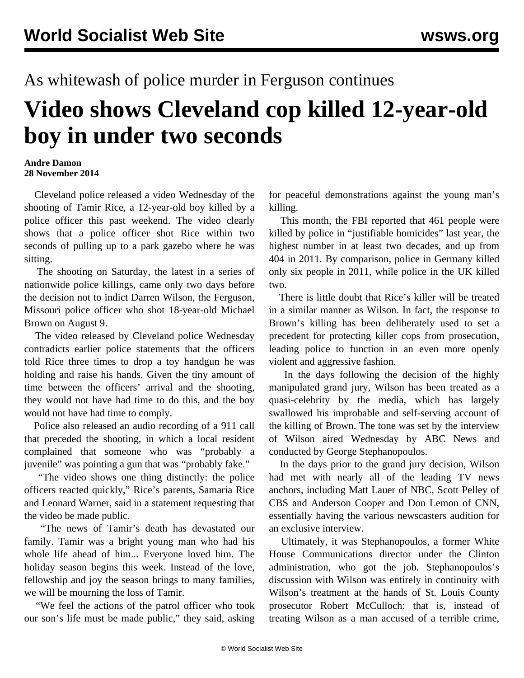## As whitewash of police murder in Ferguson continues

## **Video shows Cleveland cop killed 12-year-old boy in under two seconds**

## **Andre Damon 28 November 2014**

 Cleveland police released a [video](https://www.youtube.com/watch?v=SeoZkgjCHJ4) Wednesday of the shooting of Tamir Rice, a 12-year-old boy killed by a police officer this past weekend. The video clearly shows that a police officer shot Rice within two seconds of pulling up to a park gazebo where he was sitting.

 The shooting on Saturday, the latest in a series of nationwide police killings, came only two days before the decision not to indict Darren Wilson, the Ferguson, Missouri police officer who shot 18-year-old Michael Brown on August 9.

 The video released by Cleveland police Wednesday contradicts earlier police statements that the officers told Rice three times to drop a toy handgun he was holding and raise his hands. Given the tiny amount of time between the officers' arrival and the shooting, they would not have had time to do this, and the boy would not have had time to comply.

 Police also released an audio recording of a 911 call that preceded the shooting, in which a local resident complained that someone who was "probably a juvenile" was pointing a gun that was "probably fake."

 "The video shows one thing distinctly: the police officers reacted quickly," Rice's parents, Samaria Rice and Leonard Warner, said in a statement requesting that the video be made public.

 "The news of Tamir's death has devastated our family. Tamir was a bright young man who had his whole life ahead of him... Everyone loved him. The holiday season begins this week. Instead of the love, fellowship and joy the season brings to many families, we will be mourning the loss of Tamir.

 "We feel the actions of the patrol officer who took our son's life must be made public," they said, asking for peaceful demonstrations against the young man's killing.

 This month, the FBI [reported](/en/articles/2014/11/27/brut-n27.html) that 461 people were killed by police in "justifiable homicides" last year, the highest number in at least two decades, and up from 404 in 2011. By comparison, police in Germany killed only six people in 2011, while police in the UK killed two.

 There is little doubt that Rice's killer will be treated in a similar manner as Wilson. In fact, the response to Brown's killing has been deliberately used to set a precedent for protecting killer cops from prosecution, leading police to function in an even more openly violent and aggressive fashion.

 In the days following the decision of the highly manipulated grand jury, Wilson has been treated as a quasi-celebrity by the media, which has largely swallowed his improbable and self-serving account of the killing of Brown. The tone was set by the interview of Wilson aired Wednesday by ABC News and conducted by George Stephanopoulos.

 In the days prior to the grand jury decision, Wilson had met with nearly all of the leading TV news anchors, including Matt Lauer of NBC, Scott Pelley of CBS and Anderson Cooper and Don Lemon of CNN, essentially having the various newscasters audition for an exclusive interview.

 Ultimately, it was Stephanopoulos, a former White House Communications director under the Clinton administration, who got the job. Stephanopoulos's discussion with Wilson was entirely in continuity with Wilson's treatment at the hands of St. Louis County prosecutor Robert McCulloch: that is, instead of treating Wilson as a man accused of a terrible crime,